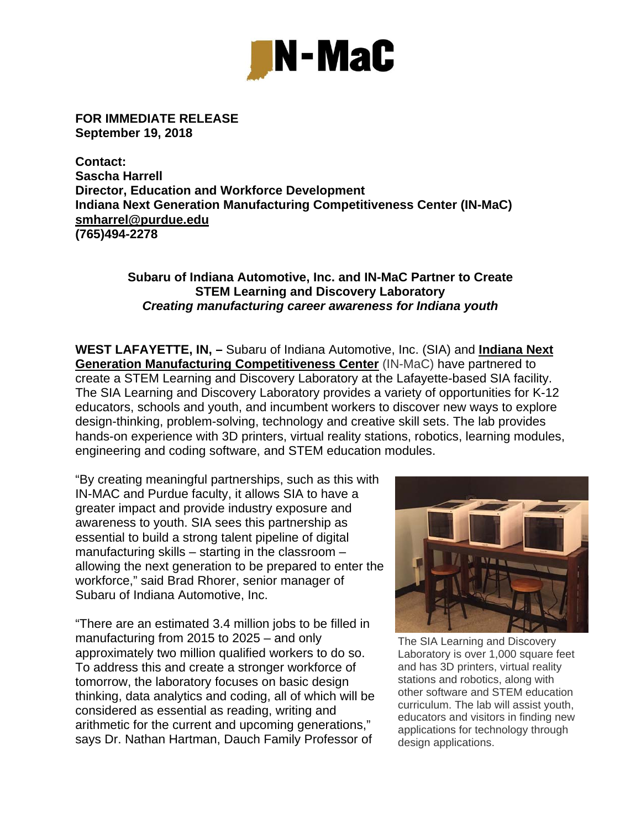

**FOR IMMEDIATE RELEASE September 19, 2018** 

**Contact: Sascha Harrell Director, Education and Workforce Development Indiana Next Generation Manufacturing Competitiveness Center (IN-MaC) smharrel@purdue.edu (765)494-2278** 

## **Subaru of Indiana Automotive, Inc. and IN-MaC Partner to Create STEM Learning and Discovery Laboratory**  *Creating manufacturing career awareness for Indiana youth*

**WEST LAFAYETTE, IN, –** Subaru of Indiana Automotive, Inc. (SIA) and **Indiana Next Generation Manufacturing Competitiveness Center** (IN-MaC) have partnered to create a STEM Learning and Discovery Laboratory at the Lafayette-based SIA facility. The SIA Learning and Discovery Laboratory provides a variety of opportunities for K-12 educators, schools and youth, and incumbent workers to discover new ways to explore design-thinking, problem-solving, technology and creative skill sets. The lab provides hands-on experience with 3D printers, virtual reality stations, robotics, learning modules, engineering and coding software, and STEM education modules.

"By creating meaningful partnerships, such as this with IN-MAC and Purdue faculty, it allows SIA to have a greater impact and provide industry exposure and awareness to youth. SIA sees this partnership as essential to build a strong talent pipeline of digital manufacturing skills – starting in the classroom – allowing the next generation to be prepared to enter the workforce," said Brad Rhorer, senior manager of Subaru of Indiana Automotive, Inc.

"There are an estimated 3.4 million jobs to be filled in manufacturing from 2015 to 2025 – and only approximately two million qualified workers to do so. To address this and create a stronger workforce of tomorrow, the laboratory focuses on basic design thinking, data analytics and coding, all of which will be considered as essential as reading, writing and arithmetic for the current and upcoming generations," says Dr. Nathan Hartman, Dauch Family Professor of



The SIA Learning and Discovery Laboratory is over 1,000 square feet and has 3D printers, virtual reality stations and robotics, along with other software and STEM education curriculum. The lab will assist youth, educators and visitors in finding new applications for technology through design applications.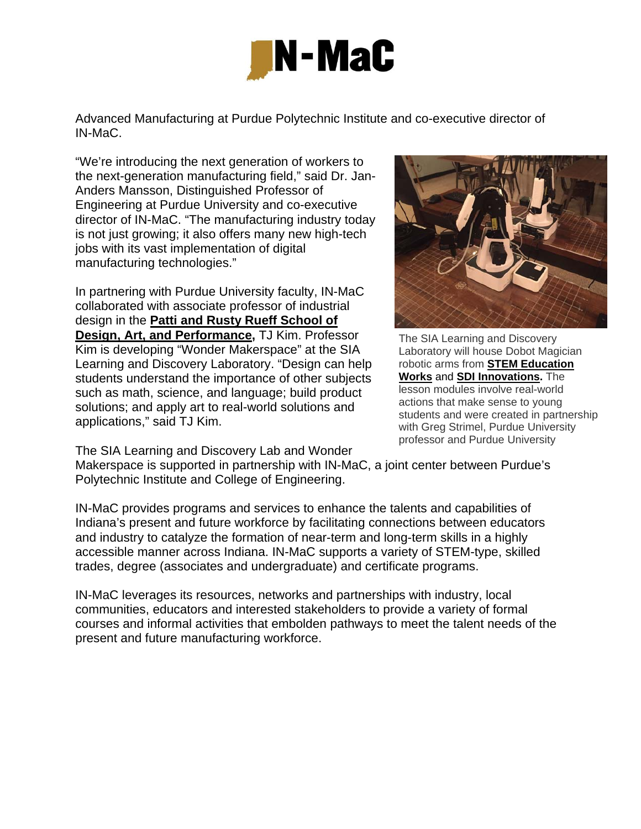

Advanced Manufacturing at Purdue Polytechnic Institute and co-executive director of IN-MaC.

"We're introducing the next generation of workers to the next-generation manufacturing field," said Dr. Jan-Anders Mansson, Distinguished Professor of Engineering at Purdue University and co-executive director of IN-MaC. "The manufacturing industry today is not just growing; it also offers many new high-tech jobs with its vast implementation of digital manufacturing technologies."

In partnering with Purdue University faculty, IN-MaC collaborated with associate professor of industrial design in the **Patti and Rusty Rueff School of Design, Art, and Performance,** TJ Kim. Professor Kim is developing "Wonder Makerspace" at the SIA Learning and Discovery Laboratory. "Design can help students understand the importance of other subjects such as math, science, and language; build product solutions; and apply art to real-world solutions and applications," said TJ Kim.

The SIA Learning and Discovery Lab and Wonder

The SIA Learning and Discovery Laboratory will house Dobot Magician robotic arms from **STEM Education Works** and **SDI Innovations.** The lesson modules involve real-world actions that make sense to young students and were created in partnership with Greg Strimel, Purdue University professor and Purdue University

Makerspace is supported in partnership with IN-MaC, a joint center between Purdue's Polytechnic Institute and College of Engineering.

IN-MaC provides programs and services to enhance the talents and capabilities of Indiana's present and future workforce by facilitating connections between educators and industry to catalyze the formation of near-term and long-term skills in a highly accessible manner across Indiana. IN-MaC supports a variety of STEM-type, skilled trades, degree (associates and undergraduate) and certificate programs.

IN-MaC leverages its resources, networks and partnerships with industry, local communities, educators and interested stakeholders to provide a variety of formal courses and informal activities that embolden pathways to meet the talent needs of the present and future manufacturing workforce.